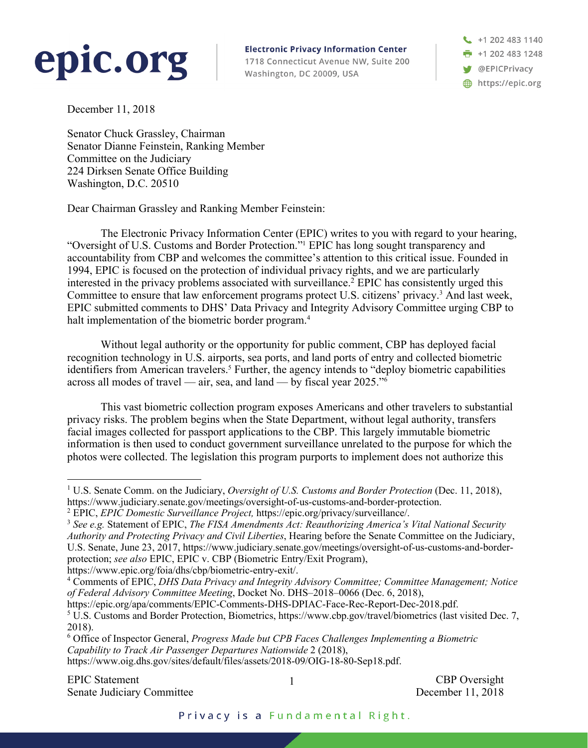## epic.org

**Electronic Privacy Information Center** 1718 Connecticut Avenue NW, Suite 200 Washington, DC 20009, USA

+1 202 483 1140 **F** +1 202 483 1248 **S** @EPICPrivacy https://epic.org

December 11, 2018

Senator Chuck Grassley, Chairman Senator Dianne Feinstein, Ranking Member Committee on the Judiciary 224 Dirksen Senate Office Building Washington, D.C. 20510

Dear Chairman Grassley and Ranking Member Feinstein:

The Electronic Privacy Information Center (EPIC) writes to you with regard to your hearing, "Oversight of U.S. Customs and Border Protection."1 EPIC has long sought transparency and accountability from CBP and welcomes the committee's attention to this critical issue. Founded in 1994, EPIC is focused on the protection of individual privacy rights, and we are particularly interested in the privacy problems associated with surveillance.<sup>2</sup> EPIC has consistently urged this Committee to ensure that law enforcement programs protect U.S. citizens' privacy.3 And last week, EPIC submitted comments to DHS' Data Privacy and Integrity Advisory Committee urging CBP to halt implementation of the biometric border program.<sup>4</sup>

Without legal authority or the opportunity for public comment, CBP has deployed facial recognition technology in U.S. airports, sea ports, and land ports of entry and collected biometric identifiers from American travelers.<sup>5</sup> Further, the agency intends to "deploy biometric capabilities across all modes of travel — air, sea, and land — by fiscal year  $2025.^{16}$ 

This vast biometric collection program exposes Americans and other travelers to substantial privacy risks. The problem begins when the State Department, without legal authority, transfers facial images collected for passport applications to the CBP. This largely immutable biometric information is then used to conduct government surveillance unrelated to the purpose for which the photos were collected. The legislation this program purports to implement does not authorize this

https://www.epic.org/foia/dhs/cbp/biometric-entry-exit/.

 <sup>1</sup> U.S. Senate Comm. on the Judiciary, *Oversight of U.S. Customs and Border Protection* (Dec. 11, 2018), https://www.judiciary.senate.gov/meetings/oversight-of-us-customs-and-border-protection.

<sup>2</sup> EPIC, *EPIC Domestic Surveillance Project,* https://epic.org/privacy/surveillance/.

<sup>3</sup> *See e.g.* Statement of EPIC, *The FISA Amendments Act: Reauthorizing America's Vital National Security Authority and Protecting Privacy and Civil Liberties*, Hearing before the Senate Committee on the Judiciary, U.S. Senate, June 23, 2017, https://www.judiciary.senate.gov/meetings/oversight-of-us-customs-and-borderprotection; *see also* EPIC, EPIC v. CBP (Biometric Entry/Exit Program),

<sup>4</sup> Comments of EPIC, *DHS Data Privacy and Integrity Advisory Committee; Committee Management; Notice of Federal Advisory Committee Meeting*, Docket No. DHS–2018–0066 (Dec. 6, 2018),

https://epic.org/apa/comments/EPIC-Comments-DHS-DPIAC-Face-Rec-Report-Dec-2018.pdf. <sup>5</sup> U.S. Customs and Border Protection, Biometrics, https://www.cbp.gov/travel/biometrics (last visited Dec. 7, 2018).

<sup>6</sup> Office of Inspector General, *Progress Made but CPB Faces Challenges Implementing a Biometric Capability to Track Air Passenger Departures Nationwide* 2 (2018), https://www.oig.dhs.gov/sites/default/files/assets/2018-09/OIG-18-80-Sep18.pdf.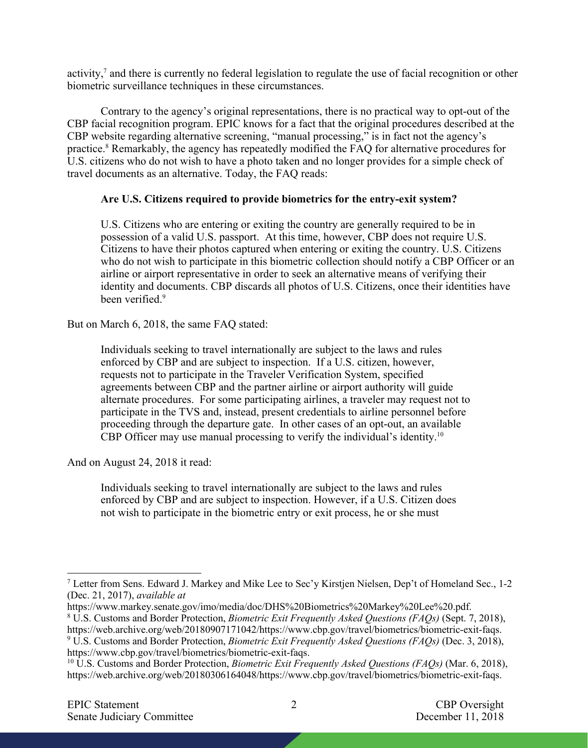activity,<sup>7</sup> and there is currently no federal legislation to regulate the use of facial recognition or other biometric surveillance techniques in these circumstances.

Contrary to the agency's original representations, there is no practical way to opt-out of the CBP facial recognition program. EPIC knows for a fact that the original procedures described at the CBP website regarding alternative screening, "manual processing," is in fact not the agency's practice.8 Remarkably, the agency has repeatedly modified the FAQ for alternative procedures for U.S. citizens who do not wish to have a photo taken and no longer provides for a simple check of travel documents as an alternative. Today, the FAQ reads:

## **Are U.S. Citizens required to provide biometrics for the entry-exit system?**

U.S. Citizens who are entering or exiting the country are generally required to be in possession of a valid U.S. passport. At this time, however, CBP does not require U.S. Citizens to have their photos captured when entering or exiting the country. U.S. Citizens who do not wish to participate in this biometric collection should notify a CBP Officer or an airline or airport representative in order to seek an alternative means of verifying their identity and documents. CBP discards all photos of U.S. Citizens, once their identities have been verified.9

But on March 6, 2018, the same FAQ stated:

Individuals seeking to travel internationally are subject to the laws and rules enforced by CBP and are subject to inspection. If a U.S. citizen, however, requests not to participate in the Traveler Verification System, specified agreements between CBP and the partner airline or airport authority will guide alternate procedures. For some participating airlines, a traveler may request not to participate in the TVS and, instead, present credentials to airline personnel before proceeding through the departure gate. In other cases of an opt-out, an available CBP Officer may use manual processing to verify the individual's identity.10

And on August 24, 2018 it read:

Individuals seeking to travel internationally are subject to the laws and rules enforced by CBP and are subject to inspection. However, if a U.S. Citizen does not wish to participate in the biometric entry or exit process, he or she must

https://www.markey.senate.gov/imo/media/doc/DHS%20Biometrics%20Markey%20Lee%20.pdf.

<sup>8</sup> U.S. Customs and Border Protection, *Biometric Exit Frequently Asked Questions (FAQs)* (Sept. 7, 2018),

https://www.cbp.gov/travel/biometrics/biometric-exit-faqs.

 <sup>7</sup> Letter from Sens. Edward J. Markey and Mike Lee to Sec'y Kirstjen Nielsen, Dep't of Homeland Sec., 1-2 (Dec. 21, 2017), *available at* 

https://web.archive.org/web/20180907171042/https://www.cbp.gov/travel/biometrics/biometric-exit-faqs. <sup>9</sup> U.S. Customs and Border Protection, *Biometric Exit Frequently Asked Questions (FAQs)* (Dec. 3, 2018),

<sup>10</sup> U.S. Customs and Border Protection, *Biometric Exit Frequently Asked Questions (FAQs)* (Mar. 6, 2018), https://web.archive.org/web/20180306164048/https://www.cbp.gov/travel/biometrics/biometric-exit-faqs.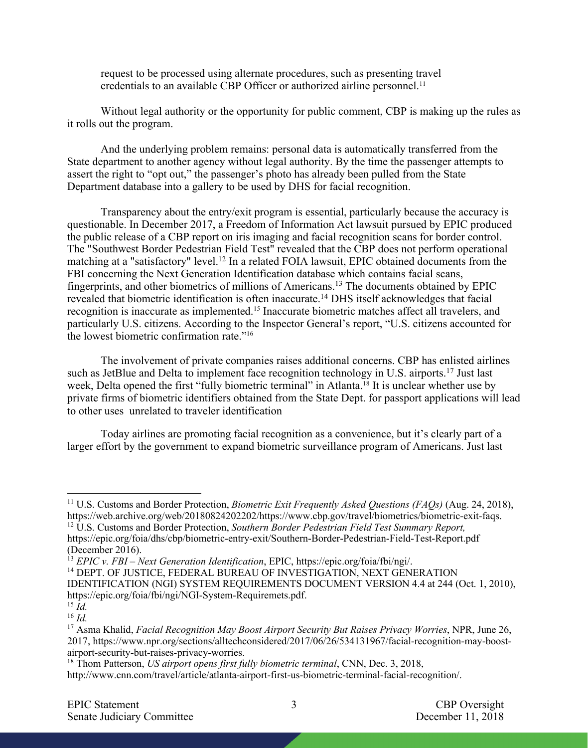request to be processed using alternate procedures, such as presenting travel credentials to an available CBP Officer or authorized airline personnel.<sup>11</sup>

Without legal authority or the opportunity for public comment, CBP is making up the rules as it rolls out the program.

And the underlying problem remains: personal data is automatically transferred from the State department to another agency without legal authority. By the time the passenger attempts to assert the right to "opt out," the passenger's photo has already been pulled from the State Department database into a gallery to be used by DHS for facial recognition.

Transparency about the entry/exit program is essential, particularly because the accuracy is questionable. In December 2017, a Freedom of Information Act lawsuit pursued by EPIC produced the public release of a CBP report on iris imaging and facial recognition scans for border control. The "Southwest Border Pedestrian Field Test" revealed that the CBP does not perform operational matching at a "satisfactory" level.12 In a related FOIA lawsuit, EPIC obtained documents from the FBI concerning the Next Generation Identification database which contains facial scans, fingerprints, and other biometrics of millions of Americans.13 The documents obtained by EPIC revealed that biometric identification is often inaccurate.14 DHS itself acknowledges that facial recognition is inaccurate as implemented.15 Inaccurate biometric matches affect all travelers, and particularly U.S. citizens. According to the Inspector General's report, "U.S. citizens accounted for the lowest biometric confirmation rate."16

The involvement of private companies raises additional concerns. CBP has enlisted airlines such as JetBlue and Delta to implement face recognition technology in U.S. airports.<sup>17</sup> Just last week, Delta opened the first "fully biometric terminal" in Atlanta.<sup>18</sup> It is unclear whether use by private firms of biometric identifiers obtained from the State Dept. for passport applications will lead to other uses unrelated to traveler identification

Today airlines are promoting facial recognition as a convenience, but it's clearly part of a larger effort by the government to expand biometric surveillance program of Americans. Just last

 <sup>11</sup> U.S. Customs and Border Protection, *Biometric Exit Frequently Asked Questions (FAQs)* (Aug. 24, 2018), https://web.archive.org/web/20180824202202/https://www.cbp.gov/travel/biometrics/biometric-exit-faqs.

<sup>&</sup>lt;sup>12</sup> U.S. Customs and Border Protection, *Southern Border Pedestrian Field Test Summary Report,* https://epic.org/foia/dhs/cbp/biometric-entry-exit/Southern-Border-Pedestrian-Field-Test-Report.pdf (December 2016).

<sup>13</sup> *EPIC v. FBI – Next Generation Identification*, EPIC, https://epic.org/foia/fbi/ngi/.

<sup>&</sup>lt;sup>14</sup> DEPT. OF JUSTICE, FEDERAL BUREAU OF INVESTIGATION, NEXT GENERATION IDENTIFICATION (NGI) SYSTEM REQUIREMENTS DOCUMENT VERSION 4.4 at 244 (Oct. 1, 2010), https://epic.org/foia/fbi/ngi/NGI-System-Requiremets.pdf.

 $^{15}$  *Id.* 

<sup>16</sup> *Id.* 

<sup>17</sup> Asma Khalid, *Facial Recognition May Boost Airport Security But Raises Privacy Worries*, NPR, June 26, 2017, https://www.npr.org/sections/alltechconsidered/2017/06/26/534131967/facial-recognition-may-boostairport-security-but-raises-privacy-worries.

<sup>18</sup> Thom Patterson, *US airport opens first fully biometric terminal*, CNN, Dec. 3, 2018,

http://www.cnn.com/travel/article/atlanta-airport-first-us-biometric-terminal-facial-recognition/.